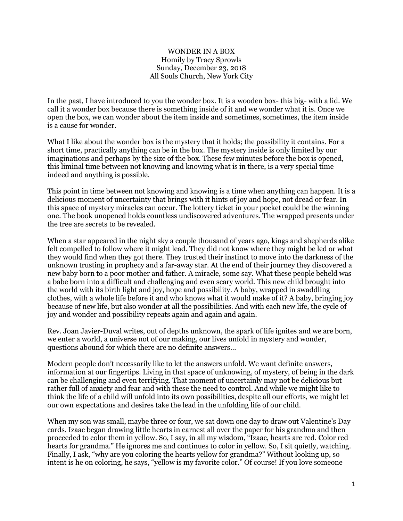## WONDER IN A BOX Homily by Tracy Sprowls Sunday, December 23, 2018 All Souls Church, New York City

In the past, I have introduced to you the wonder box. It is a wooden box- this big- with a lid. We call it a wonder box because there is something inside of it and we wonder what it is. Once we open the box, we can wonder about the item inside and sometimes, sometimes, the item inside is a cause for wonder.

What I like about the wonder box is the mystery that it holds; the possibility it contains. For a short time, practically anything can be in the box. The mystery inside is only limited by our imaginations and perhaps by the size of the box. These few minutes before the box is opened, this liminal time between not knowing and knowing what is in there, is a very special time indeed and anything is possible.

This point in time between not knowing and knowing is a time when anything can happen. It is a delicious moment of uncertainty that brings with it hints of joy and hope, not dread or fear. In this space of mystery miracles can occur. The lottery ticket in your pocket could be the winning one. The book unopened holds countless undiscovered adventures. The wrapped presents under the tree are secrets to be revealed.

When a star appeared in the night sky a couple thousand of years ago, kings and shepherds alike felt compelled to follow where it might lead. They did not know where they might be led or what they would find when they got there. They trusted their instinct to move into the darkness of the unknown trusting in prophecy and a far-away star. At the end of their journey they discovered a new baby born to a poor mother and father. A miracle, some say. What these people beheld was a babe born into a difficult and challenging and even scary world. This new child brought into the world with its birth light and joy, hope and possibility. A baby, wrapped in swaddling clothes, with a whole life before it and who knows what it would make of it? A baby, bringing joy because of new life, but also wonder at all the possibilities. And with each new life, the cycle of joy and wonder and possibility repeats again and again and again.

Rev. Joan Javier-Duval writes, out of depths unknown, the spark of life ignites and we are born, we enter a world, a universe not of our making, our lives unfold in mystery and wonder, questions abound for which there are no definite answers…

Modern people don't necessarily like to let the answers unfold. We want definite answers, information at our fingertips. Living in that space of unknowing, of mystery, of being in the dark can be challenging and even terrifying. That moment of uncertainly may not be delicious but rather full of anxiety and fear and with these the need to control. And while we might like to think the life of a child will unfold into its own possibilities, despite all our efforts, we might let our own expectations and desires take the lead in the unfolding life of our child.

When my son was small, maybe three or four, we sat down one day to draw out Valentine's Day cards. Izaac began drawing little hearts in earnest all over the paper for his grandma and then proceeded to color them in yellow. So, I say, in all my wisdom, "Izaac, hearts are red. Color red hearts for grandma." He ignores me and continues to color in yellow. So, I sit quietly, watching. Finally, I ask, "why are you coloring the hearts yellow for grandma?" Without looking up, so intent is he on coloring, he says, "yellow is my favorite color." Of course! If you love someone